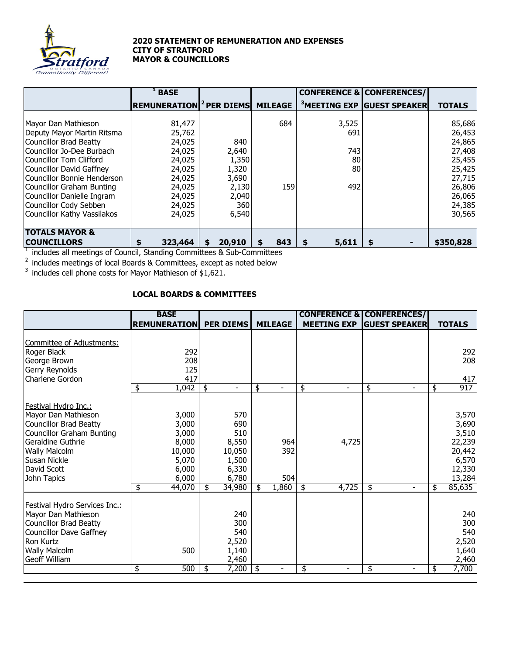

## **2020 STATEMENT OF REMUNERATION AND EXPENSES CITY OF STRATFORD MAYOR & COUNCILLORS**

|                             | <b>BASE</b>                                        |              |          |             | <b>CONFERENCE &amp; CONFERENCES/</b>   |               |
|-----------------------------|----------------------------------------------------|--------------|----------|-------------|----------------------------------------|---------------|
|                             | <b>REMUNERATION</b> <sup>2</sup> PER DIEMS MILEAGE |              |          |             | <sup>3</sup> MEETING EXP GUEST SPEAKER | <b>TOTALS</b> |
|                             |                                                    |              |          |             |                                        |               |
| Mayor Dan Mathieson         | 81,477                                             |              | 684      | 3,525       |                                        | 85,686        |
| Deputy Mayor Martin Ritsma  | 25,762                                             |              |          | 691         |                                        | 26,453        |
| Councillor Brad Beatty      | 24,025                                             | 840          |          |             |                                        | 24,865        |
| Councillor Jo-Dee Burbach   | 24,025                                             | 2,640        |          | 743         |                                        | 27,408        |
| Councillor Tom Clifford     | 24,025                                             | 1,350        |          | 80          |                                        | 25,455        |
| Councillor David Gaffney    | 24,025                                             | 1,320        |          | 80          |                                        | 25,425        |
| Councillor Bonnie Henderson | 24,025                                             | 3,690        |          |             |                                        | 27,715        |
| Councillor Graham Bunting   | 24,025                                             | 2,130        | 159      | 492         |                                        | 26,806        |
| Councillor Danielle Ingram  | 24,025                                             | 2,040        |          |             |                                        | 26,065        |
| Councillor Cody Sebben      | 24,025                                             | 360          |          |             |                                        | 24,385        |
| Councillor Kathy Vassilakos | 24,025                                             | 6,540        |          |             |                                        | 30,565        |
| <b>TOTALS MAYOR &amp;</b>   |                                                    |              |          |             |                                        |               |
| <b>COUNCILLORS</b>          | 323,464                                            | 20,910<br>\$ | 843<br>S | 5,611<br>\$ |                                        | \$350,828     |

 $1$  includes all meetings of Council, Standing Committees & Sub-Committees

 $2$  includes meetings of local Boards & Committees, except as noted below

 $3$  includes cell phone costs for Mayor Mathieson of \$1,621.

## **LOCAL BOARDS & COMMITTEES**

|                                                                                                                                                                                                             | <b>BASE</b>                                                                           |                                                                                 |                                  |                      | <b>CONFERENCE &amp; CONFERENCES/</b> |                                                                                          |
|-------------------------------------------------------------------------------------------------------------------------------------------------------------------------------------------------------------|---------------------------------------------------------------------------------------|---------------------------------------------------------------------------------|----------------------------------|----------------------|--------------------------------------|------------------------------------------------------------------------------------------|
|                                                                                                                                                                                                             | <b>REMUNERATION</b>                                                                   | <b>PER DIEMS</b>                                                                | <b>MILEAGE</b>                   | <b>MEETING EXP</b>   | <b>GUEST SPEAKER</b>                 | <b>TOTALS</b>                                                                            |
| <b>Committee of Adjustments:</b><br>Roger Black<br>George Brown<br>Gerry Reynolds<br>Charlene Gordon                                                                                                        | 292<br>208<br>125<br>417<br>1,042<br>\$                                               | \$                                                                              | \$                               | \$                   | \$                                   | 292<br>208<br>417<br>917<br>\$                                                           |
| Festival Hydro Inc.:<br>Mayor Dan Mathieson<br><b>Councillor Brad Beatty</b><br><b>Councillor Graham Bunting</b><br>Geraldine Guthrie<br><b>Wally Malcolm</b><br>Susan Nickle<br>David Scott<br>John Tapics | 3,000<br>3,000<br>3,000<br>8,000<br>10,000<br>5,070<br>6,000<br>6,000<br>44,070<br>\$ | 570<br>690<br>510<br>8,550<br>10,050<br>1,500<br>6,330<br>6,780<br>34,980<br>\$ | 964<br>392<br>504<br>1,860<br>\$ | 4,725<br>4,725<br>\$ | \$<br>$\blacksquare$                 | 3,570<br>3,690<br>3,510<br>22,239<br>20,442<br>6,570<br>12,330<br>13,284<br>85,635<br>\$ |
| Festival Hydro Services Inc.:<br>Mayor Dan Mathieson<br><b>Councillor Brad Beatty</b><br><b>Councillor Dave Gaffney</b><br>Ron Kurtz<br>Wally Malcolm<br>Geoff William                                      | 500<br>\$<br>500                                                                      | 240<br>300<br>540<br>2,520<br>1,140<br>2,460<br>7,200<br>\$                     | -\$                              | \$                   | \$                                   | 240<br>300<br>540<br>2,520<br>1,640<br>2,460<br>7,700<br>\$                              |